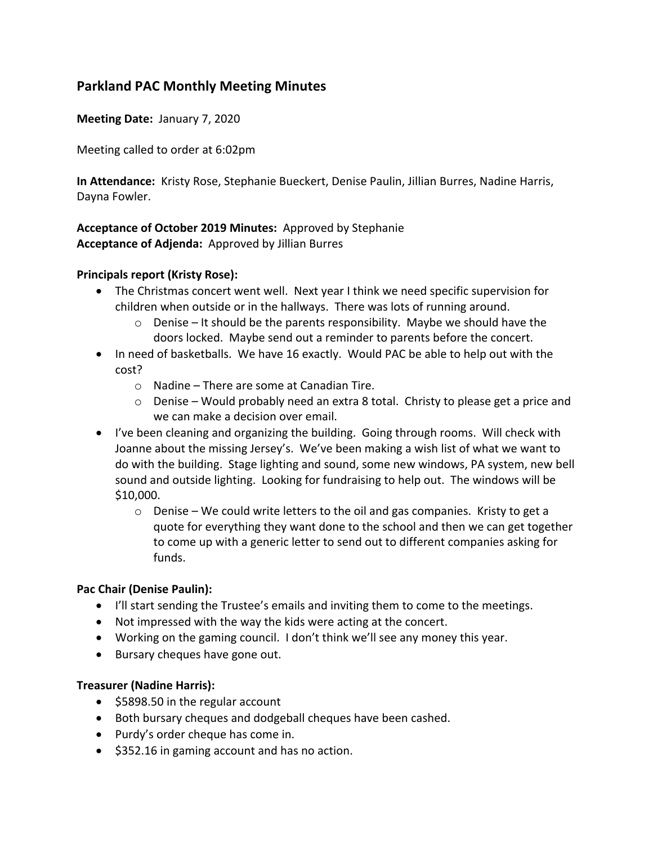# **Parkland PAC Monthly Meeting Minutes**

**Meeting Date:** January 7, 2020

Meeting called to order at 6:02pm

**In Attendance:** Kristy Rose, Stephanie Bueckert, Denise Paulin, Jillian Burres, Nadine Harris, Dayna Fowler.

## **Acceptance of October 2019 Minutes:** Approved by Stephanie **Acceptance of Adjenda:** Approved by Jillian Burres

### **Principals report (Kristy Rose):**

- The Christmas concert went well. Next year I think we need specific supervision for children when outside or in the hallways. There was lots of running around.
	- o Denise It should be the parents responsibility. Maybe we should have the doors locked. Maybe send out a reminder to parents before the concert.
- In need of basketballs. We have 16 exactly. Would PAC be able to help out with the cost?
	- o Nadine There are some at Canadian Tire.
	- $\circ$  Denise Would probably need an extra 8 total. Christy to please get a price and we can make a decision over email.
- I've been cleaning and organizing the building. Going through rooms. Will check with Joanne about the missing Jersey's. We've been making a wish list of what we want to do with the building. Stage lighting and sound, some new windows, PA system, new bell sound and outside lighting. Looking for fundraising to help out. The windows will be \$10,000.
	- $\circ$  Denise We could write letters to the oil and gas companies. Kristy to get a quote for everything they want done to the school and then we can get together to come up with a generic letter to send out to different companies asking for funds.

## **Pac Chair (Denise Paulin):**

- I'll start sending the Trustee's emails and inviting them to come to the meetings.
- Not impressed with the way the kids were acting at the concert.
- Working on the gaming council. I don't think we'll see any money this year.
- Bursary cheques have gone out.

#### **Treasurer (Nadine Harris):**

- \$5898.50 in the regular account
- Both bursary cheques and dodgeball cheques have been cashed.
- Purdy's order cheque has come in.
- \$352.16 in gaming account and has no action.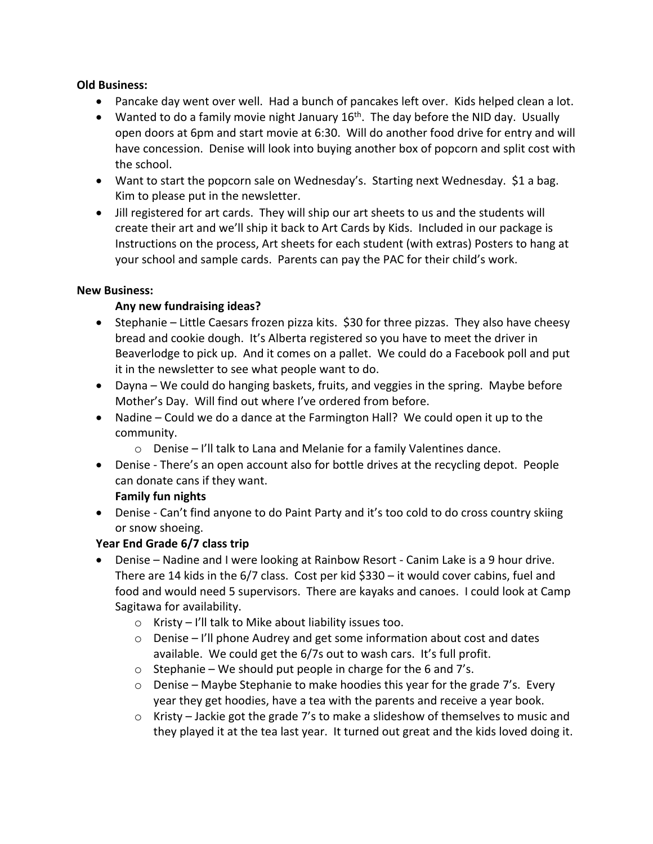### **Old Business:**

- Pancake day went over well. Had a bunch of pancakes left over. Kids helped clean a lot.
- Wanted to do a family movie night January  $16<sup>th</sup>$ . The day before the NID day. Usually open doors at 6pm and start movie at 6:30. Will do another food drive for entry and will have concession. Denise will look into buying another box of popcorn and split cost with the school.
- Want to start the popcorn sale on Wednesday's. Starting next Wednesday. \$1 a bag. Kim to please put in the newsletter.
- Jill registered for art cards. They will ship our art sheets to us and the students will create their art and we'll ship it back to Art Cards by Kids. Included in our package is Instructions on the process, Art sheets for each student (with extras) Posters to hang at your school and sample cards. Parents can pay the PAC for their child's work.

### **New Business:**

## **Any new fundraising ideas?**

- Stephanie Little Caesars frozen pizza kits. \$30 for three pizzas. They also have cheesy bread and cookie dough. It's Alberta registered so you have to meet the driver in Beaverlodge to pick up. And it comes on a pallet. We could do a Facebook poll and put it in the newsletter to see what people want to do.
- Dayna We could do hanging baskets, fruits, and veggies in the spring. Maybe before Mother's Day. Will find out where I've ordered from before.
- Nadine Could we do a dance at the Farmington Hall? We could open it up to the community.
	- o Denise I'll talk to Lana and Melanie for a family Valentines dance.
- Denise There's an open account also for bottle drives at the recycling depot. People can donate cans if they want.

## **Family fun nights**

• Denise - Can't find anyone to do Paint Party and it's too cold to do cross country skiing or snow shoeing.

## **Year End Grade 6/7 class trip**

- Denise Nadine and I were looking at Rainbow Resort Canim Lake is a 9 hour drive. There are 14 kids in the 6/7 class. Cost per kid \$330 – it would cover cabins, fuel and food and would need 5 supervisors. There are kayaks and canoes. I could look at Camp Sagitawa for availability.
	- o Kristy I'll talk to Mike about liability issues too.
	- o Denise I'll phone Audrey and get some information about cost and dates available. We could get the 6/7s out to wash cars. It's full profit.
	- $\circ$  Stephanie We should put people in charge for the 6 and 7's.
	- $\circ$  Denise Maybe Stephanie to make hoodies this year for the grade 7's. Every year they get hoodies, have a tea with the parents and receive a year book.
	- $\circ$  Kristy Jackie got the grade 7's to make a slideshow of themselves to music and they played it at the tea last year. It turned out great and the kids loved doing it.